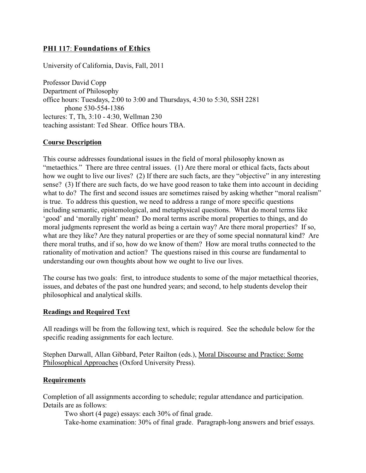### **PHI 117**: **Foundations of Ethics**

University of California, Davis, Fall, 2011

Professor David Copp Department of Philosophy office hours: Tuesdays, 2:00 to 3:00 and Thursdays, 4:30 to 5:30, SSH 2281 phone 530-554-1386 lectures: T, Th, 3:10 - 4:30, Wellman 230 teaching assistant: Ted Shear. Office hours TBA.

#### **Course Description**

This course addresses foundational issues in the field of moral philosophy known as "metaethics." There are three central issues. (1) Are there moral or ethical facts, facts about how we ought to live our lives? (2) If there are such facts, are they "objective" in any interesting sense? (3) If there are such facts, do we have good reason to take them into account in deciding what to do? The first and second issues are sometimes raised by asking whether "moral realism" is true. To address this question, we need to address a range of more specific questions including semantic, epistemological, and metaphysical questions. What do moral terms like 'good' and 'morally right' mean? Do moral terms ascribe moral properties to things, and do moral judgments represent the world as being a certain way? Are there moral properties? If so, what are they like? Are they natural properties or are they of some special nonnatural kind? Are there moral truths, and if so, how do we know of them? How are moral truths connected to the rationality of motivation and action? The questions raised in this course are fundamental to understanding our own thoughts about how we ought to live our lives.

The course has two goals: first, to introduce students to some of the major metaethical theories, issues, and debates of the past one hundred years; and second, to help students develop their philosophical and analytical skills.

#### **Readings and Required Text**

All readings will be from the following text, which is required. See the schedule below for the specific reading assignments for each lecture.

Stephen Darwall, Allan Gibbard, Peter Railton (eds.), Moral Discourse and Practice: Some Philosophical Approaches (Oxford University Press).

#### **Requirements**

Completion of all assignments according to schedule; regular attendance and participation. Details are as follows:

Two short (4 page) essays: each 30% of final grade.

Take-home examination: 30% of final grade. Paragraph-long answers and brief essays.